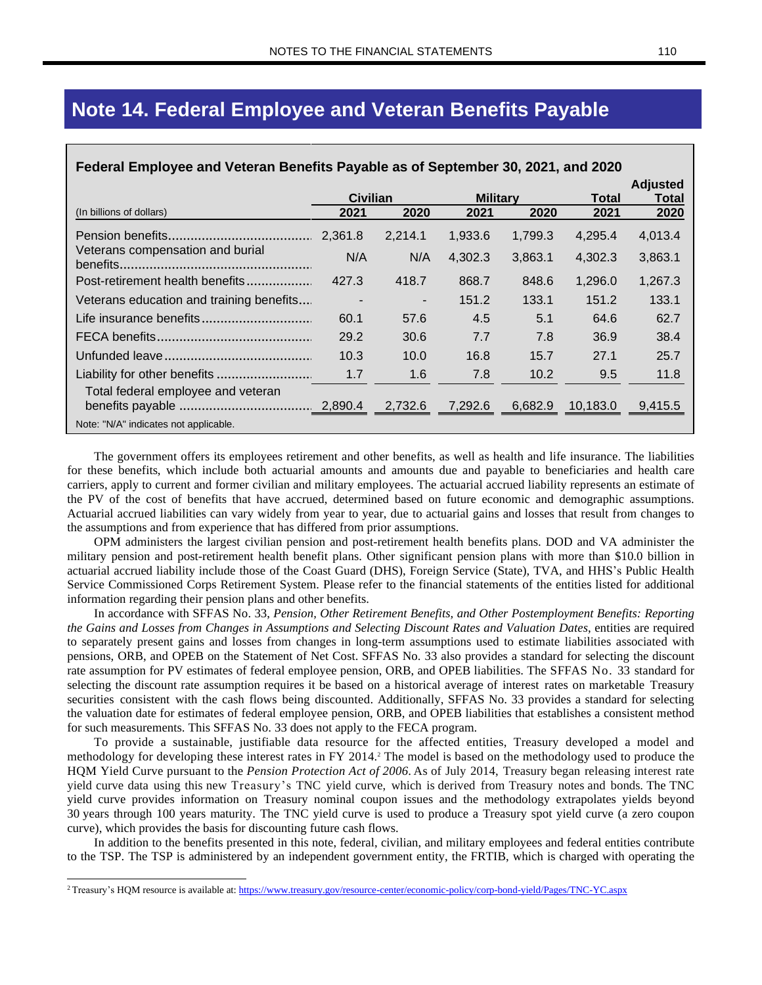### **Note 14. Federal Employee and Veteran Benefits Payable**

| Federal Employee and Veteran Benefits Payable as of September 30, 2021, and 2020 |                          |         |                 |         |          |                          |  |  |  |
|----------------------------------------------------------------------------------|--------------------------|---------|-----------------|---------|----------|--------------------------|--|--|--|
|                                                                                  | Civilian                 |         | <b>Military</b> |         | Total    | <b>Adjusted</b><br>Total |  |  |  |
| (In billions of dollars)                                                         | 2021                     | 2020    | 2021            | 2020    | 2021     | 2020                     |  |  |  |
|                                                                                  | 2,361.8                  | 2,214.1 | 1,933.6         | 1,799.3 | 4,295.4  | 4,013.4                  |  |  |  |
| Veterans compensation and burial                                                 | N/A                      | N/A     | 4,302.3         | 3,863.1 | 4,302.3  | 3,863.1                  |  |  |  |
| Post-retirement health benefits                                                  | 427.3                    | 418.7   | 868.7           | 848.6   | 1,296.0  | 1,267.3                  |  |  |  |
| Veterans education and training benefits                                         | $\overline{\phantom{a}}$ | ۰.      | 151.2           | 133.1   | 151.2    | 133.1                    |  |  |  |
|                                                                                  | 60.1                     | 57.6    | 4.5             | 5.1     | 64.6     | 62.7                     |  |  |  |
|                                                                                  | 29.2                     | 30.6    | 7.7             | 7.8     | 36.9     | 38.4                     |  |  |  |
|                                                                                  | 10.3                     | 10.0    | 16.8            | 15.7    | 27.1     | 25.7                     |  |  |  |
|                                                                                  | 1.7                      | 1.6     | 7.8             | 10.2    | 9.5      | 11.8                     |  |  |  |
| Total federal employee and veteran                                               |                          | 2,732.6 | 7,292.6         | 6,682.9 | 10,183.0 | 9,415.5                  |  |  |  |
| Note: "N/A" indicates not applicable.                                            |                          |         |                 |         |          |                          |  |  |  |

The government offers its employees retirement and other benefits, as well as health and life insurance. The liabilities for these benefits, which include both actuarial amounts and amounts due and payable to beneficiaries and health care carriers, apply to current and former civilian and military employees. The actuarial accrued liability represents an estimate of the PV of the cost of benefits that have accrued, determined based on future economic and demographic assumptions. Actuarial accrued liabilities can vary widely from year to year, due to actuarial gains and losses that result from changes to the assumptions and from experience that has differed from prior assumptions.

OPM administers the largest civilian pension and post-retirement health benefits plans. DOD and VA administer the military pension and post-retirement health benefit plans. Other significant pension plans with more than \$10.0 billion in actuarial accrued liability include those of the Coast Guard (DHS), Foreign Service (State), TVA, and HHS's Public Health Service Commissioned Corps Retirement System. Please refer to the financial statements of the entities listed for additional information regarding their pension plans and other benefits.

In accordance with SFFAS No. 33, *Pension, Other Retirement Benefits, and Other Postemployment Benefits: Reporting* the Gains and Losses from Changes in Assumptions and Selecting Discount Rates and Valuation Dates, entities are required to separately present gains and losses from changes in long-term assumptions used to estimate liabilities associated with pensions, ORB, and OPEB on the Statement of Net Cost. SFFAS No. 33 also provides a standard for selecting the discount rate assumption for PV estimates of federal employee pension, ORB, and OPEB liabilities. The SFFAS No. 33 standard for selecting the discount rate assumption requires it be based on a historical average of interest rates on marketable Treasury securities consistent with the cash flows being discounted. Additionally, SFFAS No. 33 provides a standard for selecting the valuation date for estimates of federal employee pension, ORB, and OPEB liabilities that establishes a consistent method for such measurements. This SFFAS No. 33 does not apply to the FECA program.

To provide a sustainable, justifiable data resource for the affected entities, Treasury developed a model and methodology for developing these interest rates in FY 2014. <sup>2</sup> The model is based on the methodology used to produce the HQM Yield Curve pursuant to the *Pension Protection Act of 2006*. As of July 2014, Treasury began releasing interest rate yield curve data using this new Treasury's TNC yield curve, which is derived from Treasury notes and bonds. The TNC yield curve provides information on Treasury nominal coupon issues and the methodology extrapolates yields beyond 30 years through 100 years maturity. The TNC yield curve is used to produce a Treasury spot yield curve (a zero coupon curve), which provides the basis for discounting future cash flows.

In addition to the benefits presented in this note, federal, civilian, and military employees and federal entities contribute to the TSP. The TSP is administered by an independent government entity, the FRTIB, which is charged with operating the

<sup>2</sup> Treasury's HQM resource is available at: <https://www.treasury.gov/resource-center/economic-policy/corp-bond-yield/Pages/TNC-YC.aspx>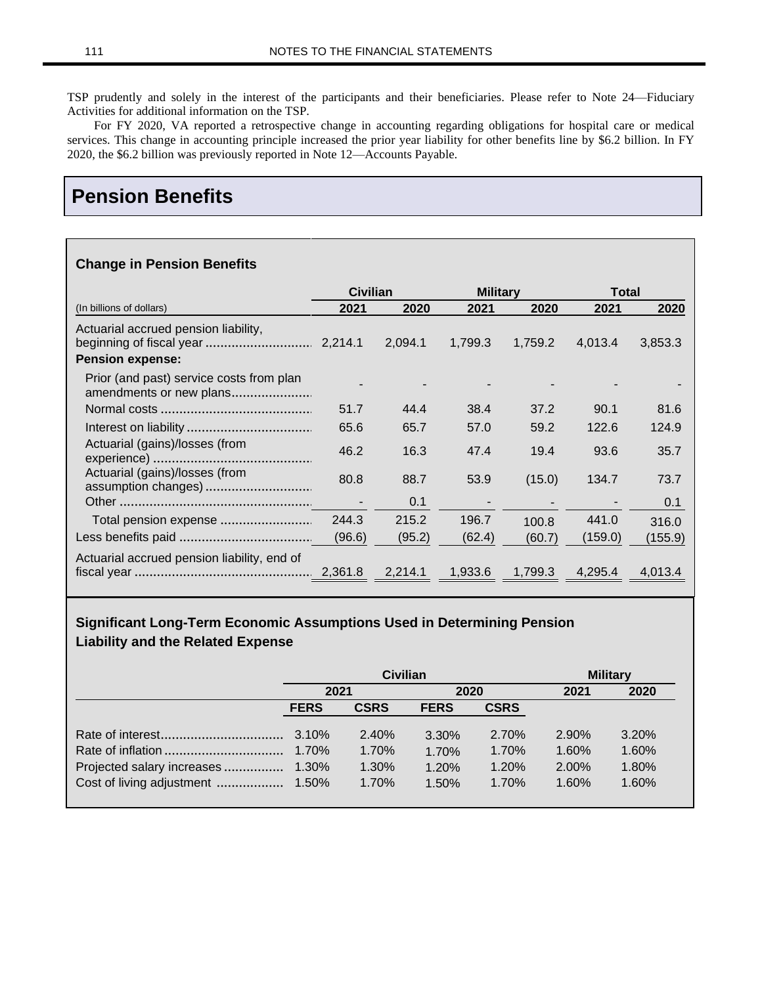TSP prudently and solely in the interest of the participants and their beneficiaries. Please refer to Note 24—Fiduciary Activities for additional information on the TSP.

For FY 2020, VA reported a retrospective change in accounting regarding obligations for hospital care or medical services. This change in accounting principle increased the prior year liability for other benefits line by \$6.2 billion. In FY 2020, the \$6.2 billion was previously reported in Note 12—Accounts Payable.

## **Pension Benefits**

#### **Change in Pension Benefits**

|                                                                     |        | <b>Military</b><br><b>Civilian</b> |         | <b>Total</b> |         |         |
|---------------------------------------------------------------------|--------|------------------------------------|---------|--------------|---------|---------|
| (In billions of dollars)                                            | 2021   | 2020                               | 2021    | 2020         | 2021    | 2020    |
| Actuarial accrued pension liability,<br><b>Pension expense:</b>     |        | 2,094.1                            | 1.799.3 | 1,759.2      | 4,013.4 | 3,853.3 |
| Prior (and past) service costs from plan<br>amendments or new plans |        |                                    |         |              |         |         |
|                                                                     | 51.7   | 44.4                               | 38.4    | 37.2         | 90.1    | 81.6    |
|                                                                     | 65.6   | 65.7                               | 57.0    | 59.2         | 122.6   | 124.9   |
| Actuarial (gains)/losses (from                                      | 46.2   | 16.3                               | 47.4    | 19.4         | 93.6    | 35.7    |
| Actuarial (gains)/losses (from                                      | 80.8   | 88.7                               | 53.9    | (15.0)       | 134.7   | 73.7    |
|                                                                     |        | 0.1                                |         |              |         | 0.1     |
| Total pension expense                                               | 244.3  | 215.2                              | 196.7   | 100.8        | 441.0   | 316.0   |
|                                                                     | (96.6) | (95.2)                             | (62.4)  | (60.7)       | (159.0) | (155.9) |
| Actuarial accrued pension liability, end of                         |        | 2,214.1                            | 1,933.6 | 1,799.3      | 4,295.4 | 4.013.4 |

### **Significant Long-Term Economic Assumptions Used in Determining Pension Liability and the Related Expense**

|             | <b>Civilian</b> | <b>Military</b> |             |       |       |
|-------------|-----------------|-----------------|-------------|-------|-------|
| 2021        |                 | 2020            |             | 2021  | 2020  |
| <b>FERS</b> | <b>CSRS</b>     | <b>FERS</b>     | <b>CSRS</b> |       |       |
|             | 2.40%           | 3.30%           | 2.70%       | 2.90% | 3.20% |
|             | 1.70%           | 1.70%           | 1.70%       | 1.60% | 1.60% |
|             | 1.30%           | 1.20%           | 1.20%       | 2.00% | 1.80% |
|             | 1.70%           | 1.50%           | 1.70%       | 1.60% | 1.60% |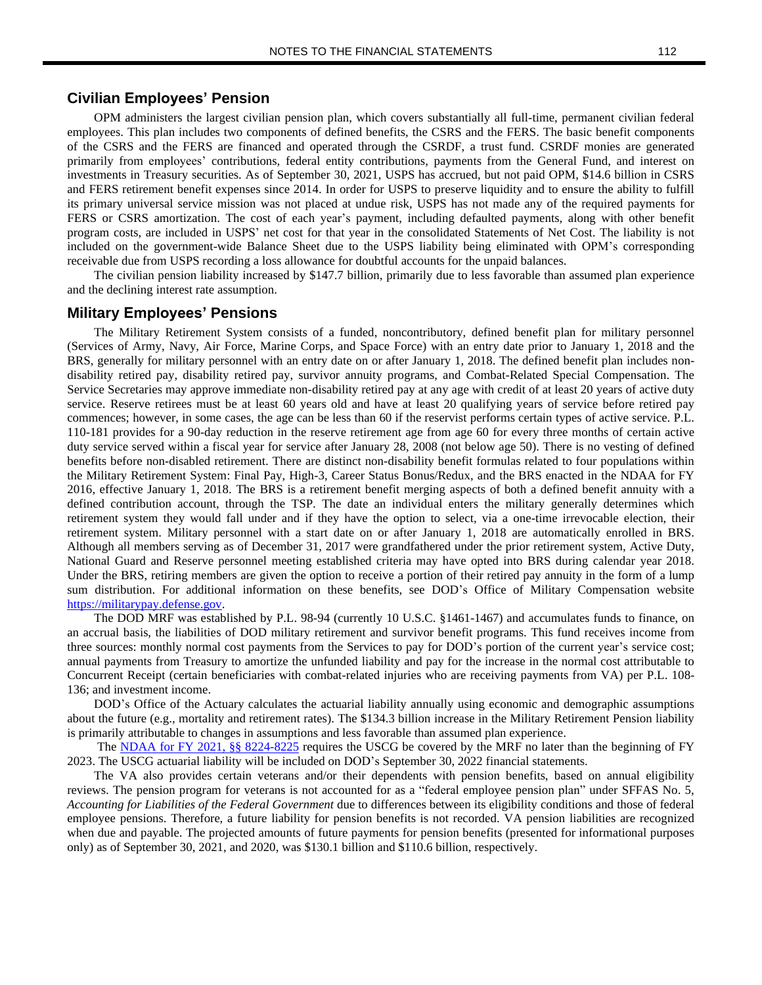OPM administers the largest civilian pension plan, which covers substantially all full-time, permanent civilian federal employees. This plan includes two components of defined benefits, the CSRS and the FERS. The basic benefit components of the CSRS and the FERS are financed and operated through the CSRDF, a trust fund. CSRDF monies are generated primarily from employees' contributions, federal entity contributions, payments from the General Fund, and interest on investments in Treasury securities. As of September 30, 2021, USPS has accrued, but not paid OPM, \$14.6 billion in CSRS and FERS retirement benefit expenses since 2014. In order for USPS to preserve liquidity and to ensure the ability to fulfill its primary universal service mission was not placed at undue risk, USPS has not made any of the required payments for FERS or CSRS amortization. The cost of each year's payment, including defaulted payments, along with other benefit program costs, are included in USPS' net cost for that year in the consolidated Statements of Net Cost. The liability is not included on the government-wide Balance Sheet due to the USPS liability being eliminated with OPM's corresponding receivable due from USPS recording a loss allowance for doubtful accounts for the unpaid balances.

The civilian pension liability increased by \$147.7 billion, primarily due to less favorable than assumed plan experience and the declining interest rate assumption.

#### **Military Employees' Pensions**

The Military Retirement System consists of a funded, noncontributory, defined benefit plan for military personnel (Services of Army, Navy, Air Force, Marine Corps, and Space Force) with an entry date prior to January 1, 2018 and the BRS, generally for military personnel with an entry date on or after January 1, 2018. The defined benefit plan includes nondisability retired pay, disability retired pay, survivor annuity programs, and Combat-Related Special Compensation. The Service Secretaries may approve immediate non-disability retired pay at any age with credit of at least 20 years of active duty service. Reserve retirees must be at least 60 years old and have at least 20 qualifying years of service before retired pay commences; however, in some cases, the age can be less than 60 if the reservist performs certain types of active service. P.L. 110-181 provides for a 90-day reduction in the reserve retirement age from age 60 for every three months of certain active duty service served within a fiscal year for service after January 28, 2008 (not below age 50). There is no vesting of defined benefits before non-disabled retirement. There are distinct non-disability benefit formulas related to four populations within the Military Retirement System: Final Pay, High-3, Career Status Bonus/Redux, and the BRS enacted in the NDAA for FY 2016, effective January 1, 2018. The BRS is a retirement benefit merging aspects of both a defined benefit annuity with a defined contribution account, through the TSP. The date an individual enters the military generally determines which retirement system they would fall under and if they have the option to select, via a one-time irrevocable election, their retirement system. Military personnel with a start date on or after January 1, 2018 are automatically enrolled in BRS. Although all members serving as of December 31, 2017 were grandfathered under the prior retirement system, Active Duty, National Guard and Reserve personnel meeting established criteria may have opted into BRS during calendar year 2018. Under the BRS, retiring members are given the option to receive a portion of their retired pay annuity in the form of a lump sum distribution. For additional information on these benefits, see DOD's Office of Military Compensation website [https://militarypay.defense.gov.](https://militarypay.defense.gov/)

The DOD MRF was established by P.L. 98-94 (currently 10 U.S.C. §1461-1467) and accumulates funds to finance, on an accrual basis, the liabilities of DOD military retirement and survivor benefit programs. This fund receives income from three sources: monthly normal cost payments from the Services to pay for DOD's portion of the current year's service cost; annual payments from Treasury to amortize the unfunded liability and pay for the increase in the normal cost attributable to Concurrent Receipt (certain beneficiaries with combat-related injuries who are receiving payments from VA) per P.L. 108- 136; and investment income.

DOD's Office of the Actuary calculates the actuarial liability annually using economic and demographic assumptions about the future (e.g., mortality and retirement rates). The \$134.3 billion increase in the Military Retirement Pension liability is primarily attributable to changes in assumptions and less favorable than assumed plan experience.

The NDAA for FY 2021, §§ [8224-8225](https://www.govtrack.us/congress/bills/116/hr6395/text) requires the USCG be covered by the MRF no later than the beginning of FY 2023. The USCG actuarial liability will be included on DOD's September 30, 2022 financial statements.

The VA also provides certain veterans and/or their dependents with pension benefits, based on annual eligibility reviews. The pension program for veterans is not accounted for as a "federal employee pension plan" under SFFAS No. 5, *Accounting for Liabilities of the Federal Government* due to differences between its eligibility conditions and those of federal employee pensions. Therefore, a future liability for pension benefits is not recorded. VA pension liabilities are recognized when due and payable. The projected amounts of future payments for pension benefits (presented for informational purposes only) as of September 30, 2021, and 2020, was \$130.1 billion and \$110.6 billion, respectively.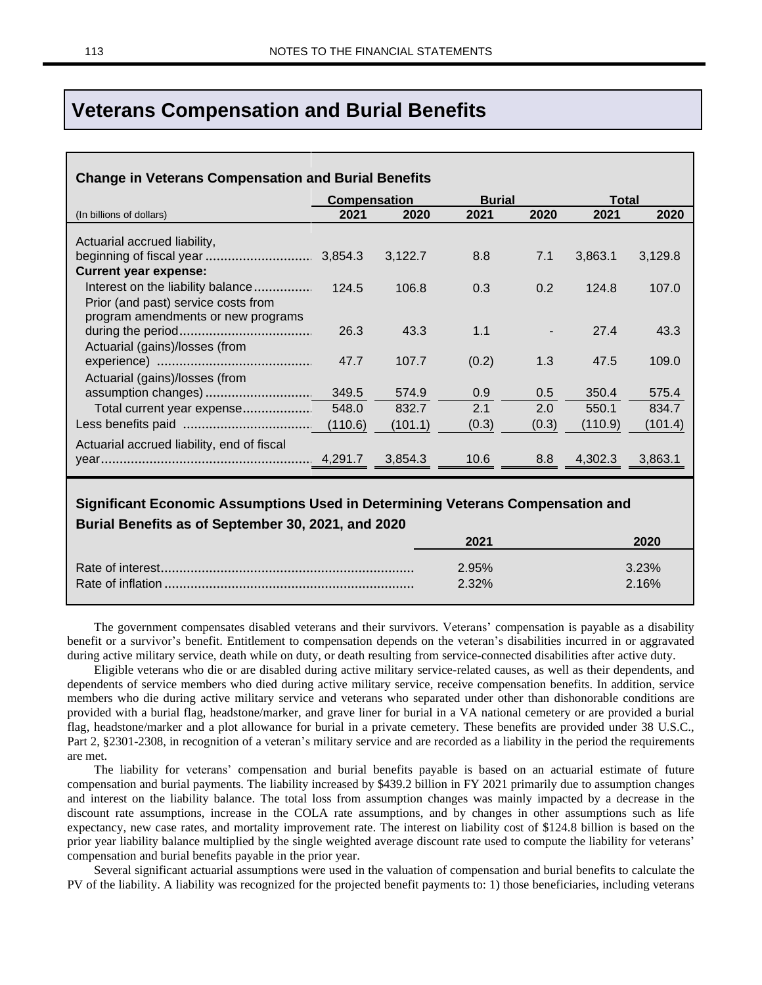### **Veterans Compensation and Burial Benefits**

| 2021<br>2021<br>2020<br>2020<br>2021<br>2020<br>(In billions of dollars)<br>Actuarial accrued liability,<br>3,122.7<br>8.8<br>3,863.1<br>7.1<br>3,129.8<br><b>Current year expense:</b><br>Interest on the liability balance<br>124.5<br>106.8<br>0.3<br>0.2<br>124.8<br>107.0<br>Prior (and past) service costs from<br>program amendments or new programs<br>1.1<br>27.4<br>26.3<br>43.3<br>43.3<br>Actuarial (gains)/losses (from<br>107.7<br>47.5<br>47.7<br>(0.2)<br>1.3<br>109.0<br>Actuarial (gains)/losses (from<br>349.5<br>574.9<br>0.9<br>350.4<br>575.4<br>0.5<br>2.1<br>2.0<br>834.7<br>550.1<br>832.7<br>Total current year expense<br>548.0<br>(110.9)<br>(101.4)<br>(0.3)<br>(0.3)<br>(101.1) |
|---------------------------------------------------------------------------------------------------------------------------------------------------------------------------------------------------------------------------------------------------------------------------------------------------------------------------------------------------------------------------------------------------------------------------------------------------------------------------------------------------------------------------------------------------------------------------------------------------------------------------------------------------------------------------------------------------------------|
|                                                                                                                                                                                                                                                                                                                                                                                                                                                                                                                                                                                                                                                                                                               |
|                                                                                                                                                                                                                                                                                                                                                                                                                                                                                                                                                                                                                                                                                                               |
|                                                                                                                                                                                                                                                                                                                                                                                                                                                                                                                                                                                                                                                                                                               |
|                                                                                                                                                                                                                                                                                                                                                                                                                                                                                                                                                                                                                                                                                                               |
|                                                                                                                                                                                                                                                                                                                                                                                                                                                                                                                                                                                                                                                                                                               |
|                                                                                                                                                                                                                                                                                                                                                                                                                                                                                                                                                                                                                                                                                                               |
|                                                                                                                                                                                                                                                                                                                                                                                                                                                                                                                                                                                                                                                                                                               |
|                                                                                                                                                                                                                                                                                                                                                                                                                                                                                                                                                                                                                                                                                                               |
|                                                                                                                                                                                                                                                                                                                                                                                                                                                                                                                                                                                                                                                                                                               |
|                                                                                                                                                                                                                                                                                                                                                                                                                                                                                                                                                                                                                                                                                                               |
|                                                                                                                                                                                                                                                                                                                                                                                                                                                                                                                                                                                                                                                                                                               |
|                                                                                                                                                                                                                                                                                                                                                                                                                                                                                                                                                                                                                                                                                                               |
|                                                                                                                                                                                                                                                                                                                                                                                                                                                                                                                                                                                                                                                                                                               |
|                                                                                                                                                                                                                                                                                                                                                                                                                                                                                                                                                                                                                                                                                                               |
| Actuarial accrued liability, end of fiscal                                                                                                                                                                                                                                                                                                                                                                                                                                                                                                                                                                                                                                                                    |
| 3,854.3<br>10.6<br>8.8<br>4,302.3<br>3,863.1                                                                                                                                                                                                                                                                                                                                                                                                                                                                                                                                                                                                                                                                  |

| <b>Durial Deficits as VI September 30, 2021, and 2020</b> |          |       |
|-----------------------------------------------------------|----------|-------|
|                                                           | 2021     | 2020  |
|                                                           |          |       |
|                                                           | $2.95\%$ | 3.23% |
|                                                           | $2.32\%$ | 2.16% |
|                                                           |          |       |

The government compensates disabled veterans and their survivors. Veterans' compensation is payable as a disability benefit or a survivor's benefit. Entitlement to compensation depends on the veteran's disabilities incurred in or aggravated during active military service, death while on duty, or death resulting from service-connected disabilities after active duty.

Eligible veterans who die or are disabled during active military service-related causes, as well as their dependents, and dependents of service members who died during active military service, receive compensation benefits. In addition, service members who die during active military service and veterans who separated under other than dishonorable conditions are provided with a burial flag, headstone/marker, and grave liner for burial in a VA national cemetery or are provided a burial flag, headstone/marker and a plot allowance for burial in a private cemetery. These benefits are provided under 38 U.S.C., Part 2, §2301-2308, in recognition of a veteran's military service and are recorded as a liability in the period the requirements are met.

The liability for veterans' compensation and burial benefits payable is based on an actuarial estimate of future compensation and burial payments. The liability increased by \$439.2 billion in FY 2021 primarily due to assumption changes and interest on the liability balance. The total loss from assumption changes was mainly impacted by a decrease in the discount rate assumptions, increase in the COLA rate assumptions, and by changes in other assumptions such as life expectancy, new case rates, and mortality improvement rate. The interest on liability cost of \$124.8 billion is based on the prior year liability balance multiplied by the single weighted average discount rate used to compute the liability for veterans' compensation and burial benefits payable in the prior year.

Several significant actuarial assumptions were used in the valuation of compensation and burial benefits to calculate the PV of the liability. A liability was recognized for the projected benefit payments to: 1) those beneficiaries, including veterans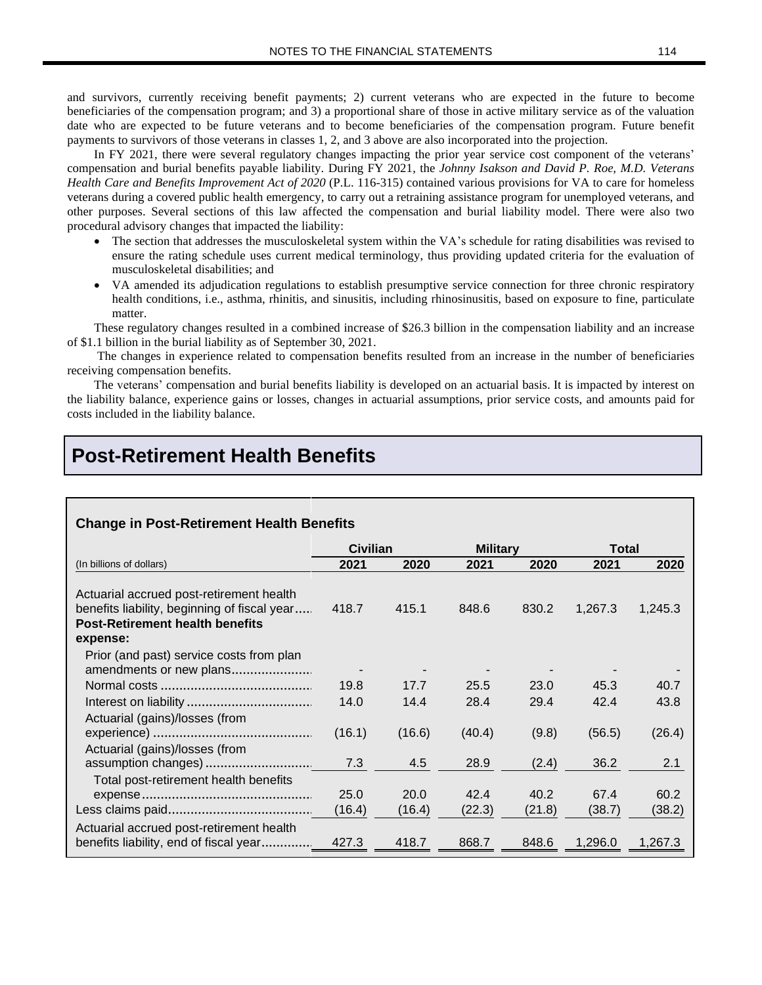and survivors, currently receiving benefit payments; 2) current veterans who are expected in the future to become beneficiaries of the compensation program; and 3) a proportional share of those in active military service as of the valuation date who are expected to be future veterans and to become beneficiaries of the compensation program. Future benefit payments to survivors of those veterans in classes 1, 2, and 3 above are also incorporated into the projection.

In FY 2021, there were several regulatory changes impacting the prior year service cost component of the veterans' compensation and burial benefits payable liability. During FY 2021, the *Johnny Isakson and David P. Roe, M.D. Veterans Health Care and Benefits Improvement Act of 2020* (P.L. 116-315) contained various provisions for VA to care for homeless veterans during a covered public health emergency, to carry out a retraining assistance program for unemployed veterans, and other purposes. Several sections of this law affected the compensation and burial liability model. There were also two procedural advisory changes that impacted the liability:

- The section that addresses the musculoskeletal system within the VA's schedule for rating disabilities was revised to ensure the rating schedule uses current medical terminology, thus providing updated criteria for the evaluation of musculoskeletal disabilities; and
- VA amended its adjudication regulations to establish presumptive service connection for three chronic respiratory health conditions, i.e., asthma, rhinitis, and sinusitis, including rhinosinusitis, based on exposure to fine, particulate matter.

These regulatory changes resulted in a combined increase of \$26.3 billion in the compensation liability and an increase of \$1.1 billion in the burial liability as of September 30, 2021.

The changes in experience related to compensation benefits resulted from an increase in the number of beneficiaries receiving compensation benefits.

The veterans' compensation and burial benefits liability is developed on an actuarial basis. It is impacted by interest on the liability balance, experience gains or losses, changes in actuarial assumptions, prior service costs, and amounts paid for costs included in the liability balance.

### **Post-Retirement Health Benefits**

#### **Change in Post-Retirement Health Benefits**

|                                                                                                                                                | <b>Civilian</b> |                | <b>Military</b> |                | Total          |                |
|------------------------------------------------------------------------------------------------------------------------------------------------|-----------------|----------------|-----------------|----------------|----------------|----------------|
| (In billions of dollars)                                                                                                                       | 2021            | 2020           | 2021            | 2020           | 2021           | 2020           |
| Actuarial accrued post-retirement health<br>benefits liability, beginning of fiscal year<br><b>Post-Retirement health benefits</b><br>expense: | 418.7           | 415.1          | 848.6           | 830.2          | 1,267.3        | 1,245.3        |
| Prior (and past) service costs from plan<br>amendments or new plans                                                                            |                 |                |                 |                |                |                |
|                                                                                                                                                | 19.8<br>14.0    | 17.7<br>14.4   | 25.5<br>28.4    | 23.0<br>29.4   | 45.3<br>42.4   | 40.7<br>43.8   |
| Actuarial (gains)/losses (from                                                                                                                 | (16.1)          | (16.6)         | (40.4)          | (9.8)          | (56.5)         | (26.4)         |
| Actuarial (gains)/losses (from                                                                                                                 | 7.3             | 4.5            | 28.9            | (2.4)          | 36.2           | 2.1            |
| Total post-retirement health benefits                                                                                                          | 25.0<br>(16.4)  | 20.0<br>(16.4) | 42.4<br>(22.3)  | 40.2<br>(21.8) | 67.4<br>(38.7) | 60.2<br>(38.2) |
| Actuarial accrued post-retirement health                                                                                                       |                 |                |                 |                |                |                |
| benefits liability, end of fiscal year                                                                                                         | 427.3           | 418.7          | 868.7           | 848.6          | 1,296.0        | 1,267.3        |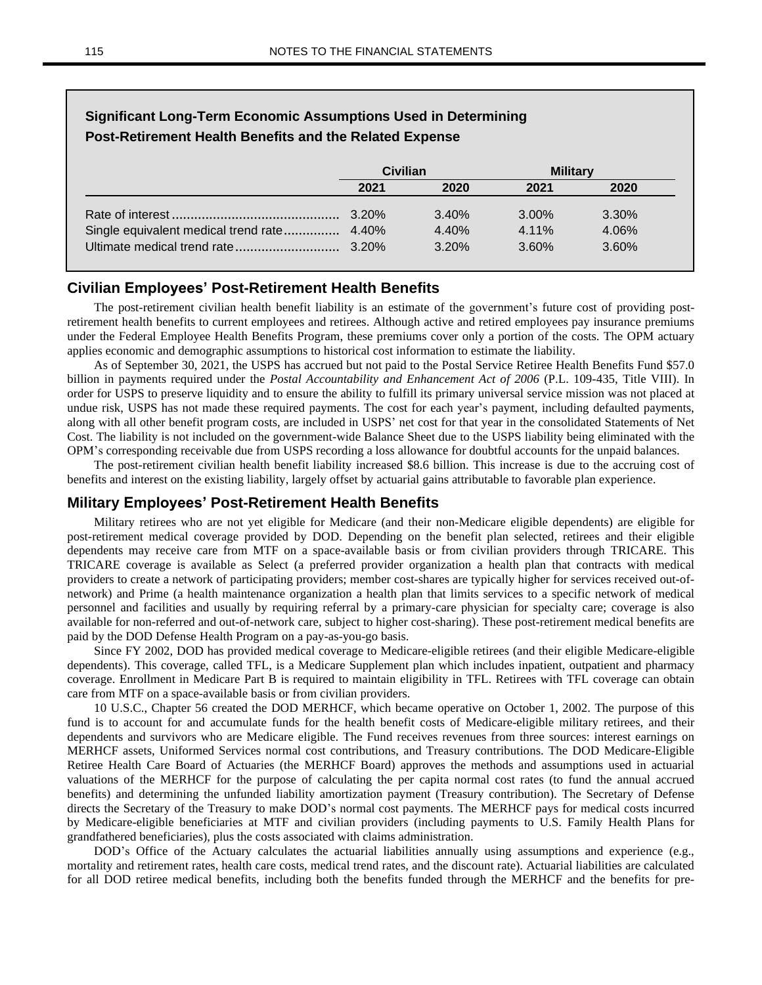| <b>Significant Long-Term Economic Assumptions Used in Determining</b><br>Post-Retirement Health Benefits and the Related Expense |                 |       |                 |          |  |  |  |
|----------------------------------------------------------------------------------------------------------------------------------|-----------------|-------|-----------------|----------|--|--|--|
|                                                                                                                                  | <b>Civilian</b> |       | <b>Military</b> |          |  |  |  |
|                                                                                                                                  | 2021            | 2020  | 2021            | 2020     |  |  |  |
|                                                                                                                                  | 3.20%           | 3.40% | $3.00\%$        | $3.30\%$ |  |  |  |
|                                                                                                                                  |                 | 4.40% | 4.11%           | 4.06%    |  |  |  |
|                                                                                                                                  |                 | 3.20% | $3.60\%$        | $3.60\%$ |  |  |  |

# **Civilian Employees' Post-Retirement Health Benefits**

The post-retirement civilian health benefit liability is an estimate of the government's future cost of providing postretirement health benefits to current employees and retirees. Although active and retired employees pay insurance premiums under the Federal Employee Health Benefits Program, these premiums cover only a portion of the costs. The OPM actuary applies economic and demographic assumptions to historical cost information to estimate the liability.

As of September 30, 2021, the USPS has accrued but not paid to the Postal Service Retiree Health Benefits Fund \$57.0 billion in payments required under the *Postal Accountability and Enhancement Act of 2006* (P.L. 109-435, Title VIII). In order for USPS to preserve liquidity and to ensure the ability to fulfill its primary universal service mission was not placed at undue risk, USPS has not made these required payments. The cost for each year's payment, including defaulted payments, along with all other benefit program costs, are included in USPS' net cost for that year in the consolidated Statements of Net Cost. The liability is not included on the government-wide Balance Sheet due to the USPS liability being eliminated with the OPM's corresponding receivable due from USPS recording a loss allowance for doubtful accounts for the unpaid balances.

The post-retirement civilian health benefit liability increased \$8.6 billion. This increase is due to the accruing cost of benefits and interest on the existing liability, largely offset by actuarial gains attributable to favorable plan experience.

#### **Military Employees' Post-Retirement Health Benefits**

Military retirees who are not yet eligible for Medicare (and their non-Medicare eligible dependents) are eligible for post-retirement medical coverage provided by DOD. Depending on the benefit plan selected, retirees and their eligible dependents may receive care from MTF on a space-available basis or from civilian providers through TRICARE. This TRICARE coverage is available as Select (a preferred provider organization a health plan that contracts with medical providers to create a network of participating providers; member cost-shares are typically higher for services received out-ofnetwork) and Prime (a health maintenance organization a health plan that limits services to a specific network of medical personnel and facilities and usually by requiring referral by a primary-care physician for specialty care; coverage is also available for non-referred and out-of-network care, subject to higher cost-sharing). These post-retirement medical benefits are paid by the DOD Defense Health Program on a pay-as-you-go basis.

Since FY 2002, DOD has provided medical coverage to Medicare-eligible retirees (and their eligible Medicare-eligible dependents). This coverage, called TFL, is a Medicare Supplement plan which includes inpatient, outpatient and pharmacy coverage. Enrollment in Medicare Part B is required to maintain eligibility in TFL. Retirees with TFL coverage can obtain care from MTF on a space-available basis or from civilian providers.

10 U.S.C., Chapter 56 created the DOD MERHCF, which became operative on October 1, 2002. The purpose of this fund is to account for and accumulate funds for the health benefit costs of Medicare-eligible military retirees, and their dependents and survivors who are Medicare eligible. The Fund receives revenues from three sources: interest earnings on MERHCF assets, Uniformed Services normal cost contributions, and Treasury contributions. The DOD Medicare-Eligible Retiree Health Care Board of Actuaries (the MERHCF Board) approves the methods and assumptions used in actuarial valuations of the MERHCF for the purpose of calculating the per capita normal cost rates (to fund the annual accrued benefits) and determining the unfunded liability amortization payment (Treasury contribution). The Secretary of Defense directs the Secretary of the Treasury to make DOD's normal cost payments. The MERHCF pays for medical costs incurred by Medicare-eligible beneficiaries at MTF and civilian providers (including payments to U.S. Family Health Plans for grandfathered beneficiaries), plus the costs associated with claims administration.

DOD's Office of the Actuary calculates the actuarial liabilities annually using assumptions and experience (e.g., mortality and retirement rates, health care costs, medical trend rates, and the discount rate). Actuarial liabilities are calculated for all DOD retiree medical benefits, including both the benefits funded through the MERHCF and the benefits for pre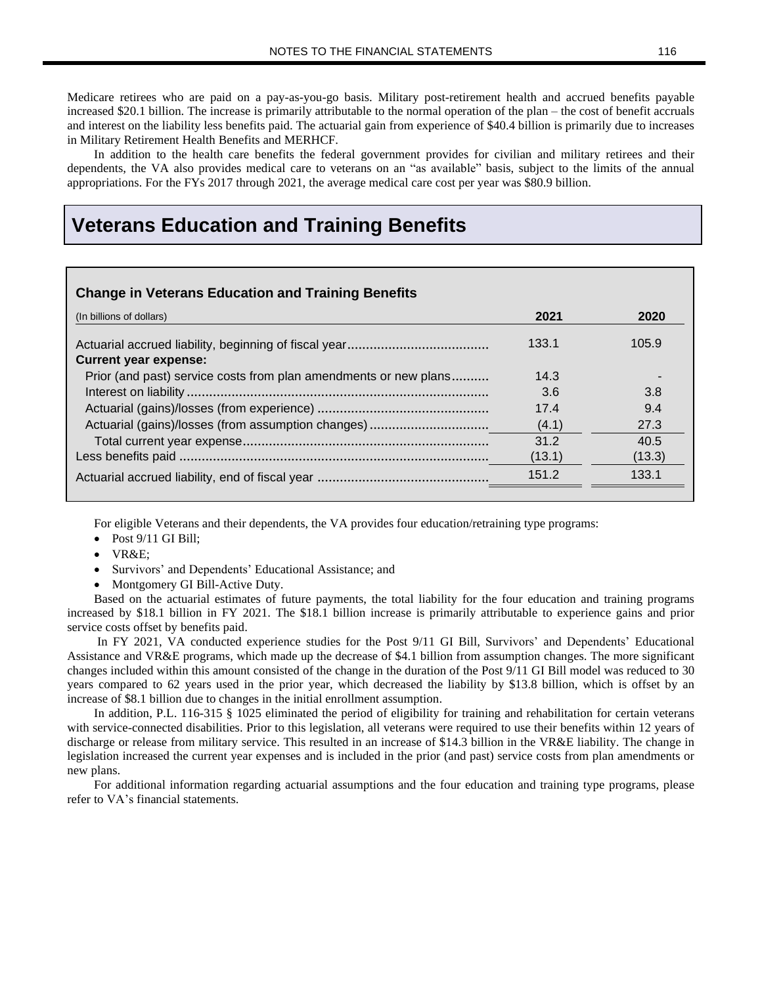Medicare retirees who are paid on a pay-as-you-go basis. Military post-retirement health and accrued benefits payable increased \$20.1 billion. The increase is primarily attributable to the normal operation of the plan – the cost of benefit accruals and interest on the liability less benefits paid. The actuarial gain from experience of \$40.4 billion is primarily due to increases in Military Retirement Health Benefits and MERHCF.

In addition to the health care benefits the federal government provides for civilian and military retirees and their dependents, the VA also provides medical care to veterans on an "as available" basis, subject to the limits of the annual appropriations. For the FYs 2017 through 2021, the average medical care cost per year was \$80.9 billion.

### **Veterans Education and Training Benefits**

#### **Change in Veterans Education and Training Benefits**

| (In billions of dollars)                                         | 2021   | 2020   |
|------------------------------------------------------------------|--------|--------|
| <b>Current year expense:</b>                                     | 133.1  | 105.9  |
| Prior (and past) service costs from plan amendments or new plans | 14.3   |        |
|                                                                  | 3.6    | 3.8    |
|                                                                  | 17.4   | 9.4    |
|                                                                  | (4.1)  | 27.3   |
|                                                                  | 31.2   | 40.5   |
|                                                                  | (13.1) | (13.3) |
|                                                                  | 151.2  | 133.1  |
|                                                                  |        |        |

For eligible Veterans and their dependents, the VA provides four education/retraining type programs:

- Post 9/11 GI Bill;
- VR&E;
- Survivors' and Dependents' Educational Assistance; and
- Montgomery GI Bill-Active Duty.

Based on the actuarial estimates of future payments, the total liability for the four education and training programs increased by \$18.1 billion in FY 2021. The \$18.1 billion increase is primarily attributable to experience gains and prior service costs offset by benefits paid.

In FY 2021, VA conducted experience studies for the Post 9/11 GI Bill, Survivors' and Dependents' Educational Assistance and VR&E programs, which made up the decrease of \$4.1 billion from assumption changes. The more significant changes included within this amount consisted of the change in the duration of the Post 9/11 GI Bill model was reduced to 30 years compared to 62 years used in the prior year, which decreased the liability by \$13.8 billion, which is offset by an increase of \$8.1 billion due to changes in the initial enrollment assumption.

In addition, P.L. 116-315 § 1025 eliminated the period of eligibility for training and rehabilitation for certain veterans with service-connected disabilities. Prior to this legislation, all veterans were required to use their benefits within 12 years of discharge or release from military service. This resulted in an increase of \$14.3 billion in the VR&E liability. The change in legislation increased the current year expenses and is included in the prior (and past) service costs from plan amendments or new plans.

For additional information regarding actuarial assumptions and the four education and training type programs, please refer to VA's financial statements.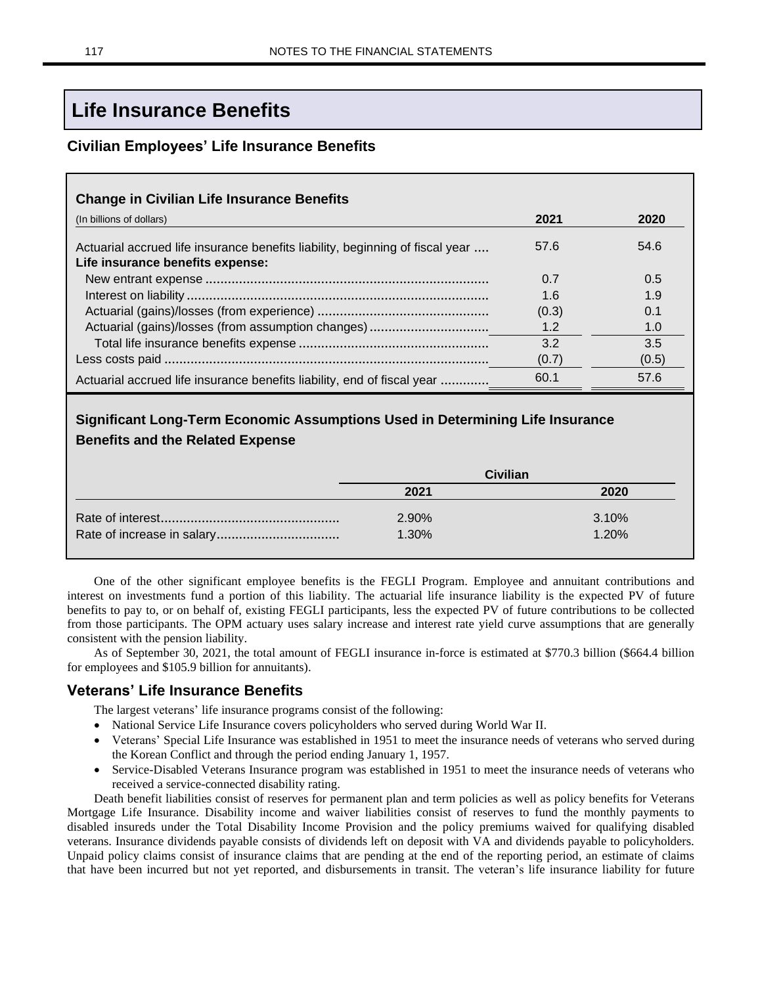# **Life Insurance Benefits**

### **Civilian Employees' Life Insurance Benefits**

| (In billions of dollars)                                                      | 2021  | 2020  |
|-------------------------------------------------------------------------------|-------|-------|
| Actuarial accrued life insurance benefits liability, beginning of fiscal year | 57.6  | 54.6  |
| Life insurance benefits expense:                                              |       |       |
|                                                                               | 0.7   | 0.5   |
|                                                                               | 1.6   | 1.9   |
|                                                                               | (0.3) | 0.1   |
|                                                                               | 1.2   | 1.0   |
|                                                                               | 3.2   | 3.5   |
|                                                                               | (0.7) | (0.5) |
| Actuarial accrued life insurance benefits liability, end of fiscal year       | 60.1  | 57.6  |

### **Significant Long-Term Economic Assumptions Used in Determining Life Insurance Benefits and the Related Expense**

| <b>Civilian</b> |       |  |  |
|-----------------|-------|--|--|
| 2021            | 2020  |  |  |
| 2.90%           | 3.10% |  |  |
| 1.30%           | 1.20% |  |  |

One of the other significant employee benefits is the FEGLI Program. Employee and annuitant contributions and interest on investments fund a portion of this liability. The actuarial life insurance liability is the expected PV of future benefits to pay to, or on behalf of, existing FEGLI participants, less the expected PV of future contributions to be collected from those participants. The OPM actuary uses salary increase and interest rate yield curve assumptions that are generally consistent with the pension liability.

As of September 30, 2021, the total amount of FEGLI insurance in-force is estimated at \$770.3 billion (\$664.4 billion for employees and \$105.9 billion for annuitants).

### **Veterans' Life Insurance Benefits**

The largest veterans' life insurance programs consist of the following:

- National Service Life Insurance covers policyholders who served during World War II.
- Veterans' Special Life Insurance was established in 1951 to meet the insurance needs of veterans who served during the Korean Conflict and through the period ending January 1, 1957.
- Service-Disabled Veterans Insurance program was established in 1951 to meet the insurance needs of veterans who received a service-connected disability rating.

Death benefit liabilities consist of reserves for permanent plan and term policies as well as policy benefits for Veterans Mortgage Life Insurance. Disability income and waiver liabilities consist of reserves to fund the monthly payments to disabled insureds under the Total Disability Income Provision and the policy premiums waived for qualifying disabled veterans. Insurance dividends payable consists of dividends left on deposit with VA and dividends payable to policyholders. Unpaid policy claims consist of insurance claims that are pending at the end of the reporting period, an estimate of claims that have been incurred but not yet reported, and disbursements in transit. The veteran's life insurance liability for future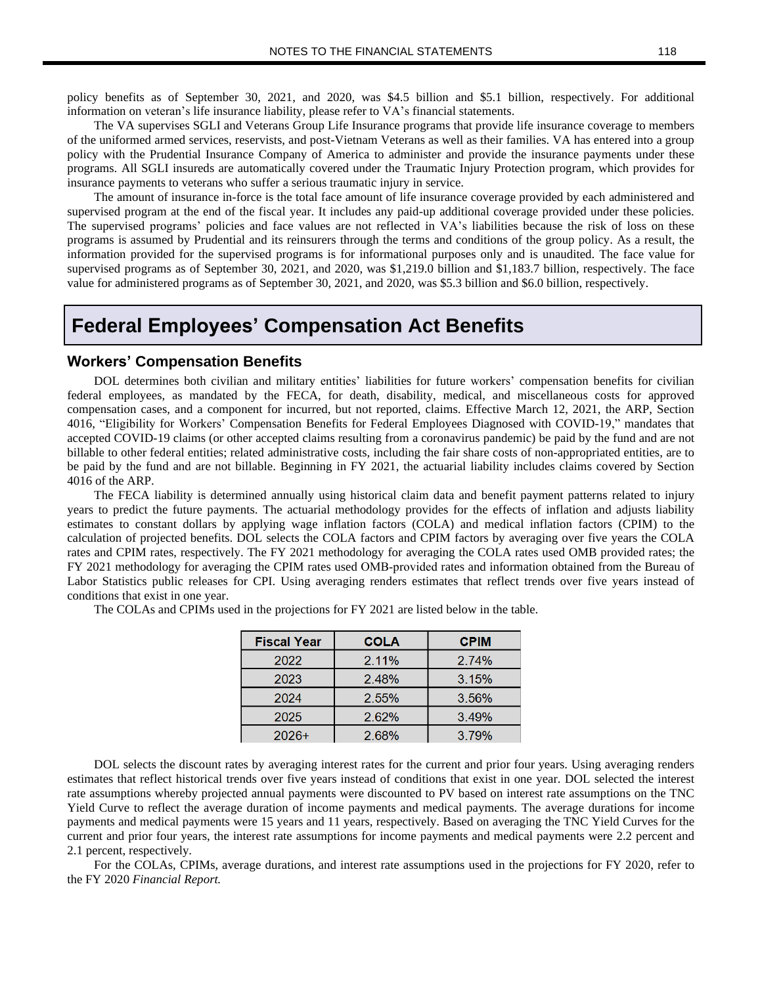policy benefits as of September 30, 2021, and 2020, was \$4.5 billion and \$5.1 billion, respectively. For additional information on veteran's life insurance liability, please refer to VA's financial statements.

The VA supervises SGLI and Veterans Group Life Insurance programs that provide life insurance coverage to members of the uniformed armed services, reservists, and post-Vietnam Veterans as well as their families. VA has entered into a group policy with the Prudential Insurance Company of America to administer and provide the insurance payments under these programs. All SGLI insureds are automatically covered under the Traumatic Injury Protection program, which provides for insurance payments to veterans who suffer a serious traumatic injury in service.

The amount of insurance in-force is the total face amount of life insurance coverage provided by each administered and supervised program at the end of the fiscal year. It includes any paid-up additional coverage provided under these policies. The supervised programs' policies and face values are not reflected in VA's liabilities because the risk of loss on these programs is assumed by Prudential and its reinsurers through the terms and conditions of the group policy. As a result, the information provided for the supervised programs is for informational purposes only and is unaudited. The face value for supervised programs as of September 30, 2021, and 2020, was \$1,219.0 billion and \$1,183.7 billion, respectively. The face value for administered programs as of September 30, 2021, and 2020, was \$5.3 billion and \$6.0 billion, respectively.

### **Federal Employees' Compensation Act Benefits**

#### **Workers' Compensation Benefits**

DOL determines both civilian and military entities' liabilities for future workers' compensation benefits for civilian federal employees, as mandated by the FECA, for death, disability, medical, and miscellaneous costs for approved compensation cases, and a component for incurred, but not reported, claims. Effective March 12, 2021, the ARP, Section 4016, "Eligibility for Workers' Compensation Benefits for Federal Employees Diagnosed with COVID-19," mandates that accepted COVID-19 claims (or other accepted claims resulting from a coronavirus pandemic) be paid by the fund and are not billable to other federal entities; related administrative costs, including the fair share costs of non-appropriated entities, are to be paid by the fund and are not billable. Beginning in FY 2021, the actuarial liability includes claims covered by Section 4016 of the ARP.

The FECA liability is determined annually using historical claim data and benefit payment patterns related to injury years to predict the future payments. The actuarial methodology provides for the effects of inflation and adjusts liability estimates to constant dollars by applying wage inflation factors (COLA) and medical inflation factors (CPIM) to the calculation of projected benefits. DOL selects the COLA factors and CPIM factors by averaging over five years the COLA rates and CPIM rates, respectively. The FY 2021 methodology for averaging the COLA rates used OMB provided rates; the FY 2021 methodology for averaging the CPIM rates used OMB-provided rates and information obtained from the Bureau of Labor Statistics public releases for CPI. Using averaging renders estimates that reflect trends over five years instead of conditions that exist in one year.

| <b>Fiscal Year</b> | <b>COLA</b> | <b>CPIM</b> |
|--------------------|-------------|-------------|
| 2022               | 2.11%       | 2.74%       |
| 2023               | 2.48%       | 3.15%       |
| 2024               | 2.55%       | 3.56%       |
| 2025               | 2.62%       | 3.49%       |
| $2026+$            | 268%        | 3 79%       |

The COLAs and CPIMs used in the projections for FY 2021 are listed below in the table.

DOL selects the discount rates by averaging interest rates for the current and prior four years. Using averaging renders estimates that reflect historical trends over five years instead of conditions that exist in one year. DOL selected the interest rate assumptions whereby projected annual payments were discounted to PV based on interest rate assumptions on the TNC Yield Curve to reflect the average duration of income payments and medical payments. The average durations for income payments and medical payments were 15 years and 11 years, respectively. Based on averaging the TNC Yield Curves for the current and prior four years, the interest rate assumptions for income payments and medical payments were 2.2 percent and 2.1 percent, respectively.

For the COLAs, CPIMs, average durations, and interest rate assumptions used in the projections for FY 2020, refer to the FY 2020 *Financial Report.*